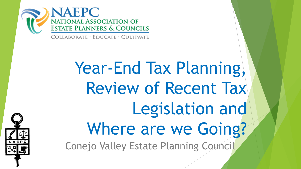

COLLABORATE · EDUCATE · CULTIVATE

Year-End Tax Planning, Review of Recent Tax Legislation and Where are we Going? Conejo Valley Estate Planning Council

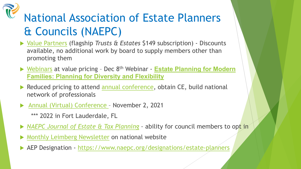## National Association of Estate Planners & Councils (NAEPC)

- ▶ [Value Partners](http://www.naepc.org/membership/benefits) (flagship *Trusts & Estates* \$149 subscription) Discounts available, no additional work by board to supply members other than promoting them
- ▶ [Webinars](http://www.naepc.org/events/webinar) at value pricing Dec 8<sup>th</sup> Webinar **Estate Planning for Modern [Families: Planning for Diversity and Flexibility](https://www.naepc.org/events/event/20347)**
- Reduced pricing to attend [annual conference,](http://www.naepc.org/conference) obtain CE, build national network of professionals
- [Annual \(Virtual\) Conference](https://www.naepc.org/conference#1.%20NEXT)  November 2, 2021
	- \*\*\* 2022 in Fort Lauderdale, FL
- *[NAEPC Journal of Estate & Tax Planning](http://www.naepcjournal.org/) –* ability for council members to opt in
- **[Monthly Leimberg Newsletter](http://www.naepc.org/events/newsletter) on national website**
- AEP Designation <https://www.naepc.org/designations/estate-planners>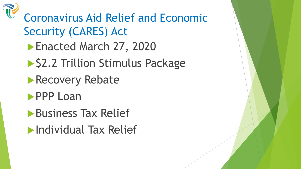

## Coronavirus Aid Relief and Economic Security (CARES) Act

- Enacted March 27, 2020
- ▶ \$2.2 Trillion Stimulus Package
- **Recovery Rebate**
- **PPP Loan**
- **Business Tax Relief**
- **Individual Tax Relief**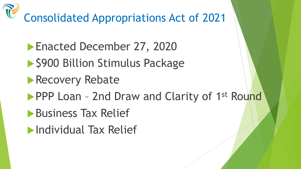Consolidated Appropriations Act of 2021

- **Enacted December 27, 2020**
- ▶ \$900 Billion Stimulus Package
- **Recovery Rebate**
- PPP Loan 2nd Draw and Clarity of 1<sup>st</sup> Round
- **Business Tax Relief**
- **Individual Tax Relief**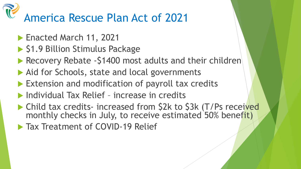# America Rescue Plan Act of 2021

- **Enacted March 11, 2021**
- ▶ \$1.9 Billion Stimulus Package
- Recovery Rebate -\$1400 most adults and their children
- ▶ Aid for Schools, state and local governments
- Extension and modification of payroll tax credits
- ▶ Individual Tax Relief increase in credits
- ▶ Child tax credits- increased from \$2k to \$3k (T/Ps received monthly checks in July, to receive estimated 50% benefit)
- **Tax Treatment of COVID-19 Relief**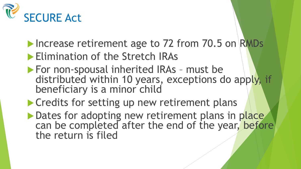

- Increase retirement age to 72 from 70.5 on RMDs
- **Elimination of the Stretch IRAs**
- **For non-spousal inherited IRAs must be** distributed within 10 years, exceptions do apply, if beneficiary is a minor child
- **Credits for setting up new retirement plans**
- Dates for adopting new retirement plans in place can be completed after the end of the year, before the return is filed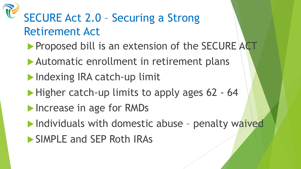## SECURE Act 2.0 – Securing a Strong Retirement Act

- Proposed bill is an extension of the SECURE ACT
- Automatic enrollment in retirement plans
- **Indexing IRA catch-up limit**
- $\blacktriangleright$  Higher catch-up limits to apply ages 62 64
- **Increase in age for RMDs**
- $\blacktriangleright$  Individuals with domestic abuse penalty waived
- **SIMPLE and SEP Roth IRAs**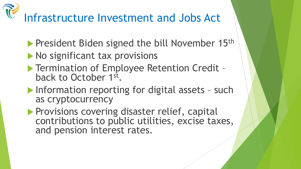## Infrastructure Investment and Jobs Act

- **President Biden signed the bill November 15th**
- $\blacktriangleright$  No significant tax provisions
- ▶ Termination of Employee Retention Credit back to October 1st.
- **Information reporting for digital assets such** as cryptocurrency
- **Provisions covering disaster relief, capital** contributions to public utilities, excise taxes, and pension interest rates.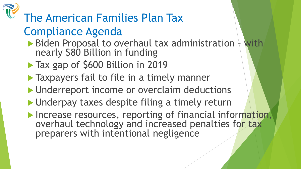#### The American Families Plan Tax Compliance Agenda Biden Proposal to overhaul tax administration + with nearly \$80 Billion in funding Tax gap of \$600 Billion in 2019 **Taxpayers fail to file in a timely manner I** Underreport income or overclaim deductions ▶ Underpay taxes despite filing a timely return Increase resources, reporting of financial information, overhaul technology and increased penalties for tax preparers with intentional negligence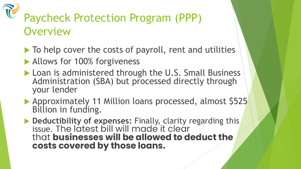#### Paycheck Protection Program (PPP) **Overview**

- $\blacktriangleright$  To help cover the costs of payroll, rent and utilities
- Allows for 100% forgiveness
- Loan is administered through the U.S. Small Business Administration (SBA) but processed directly through your lender
- Approximately 11 Million loans processed, almost \$525 Billion in funding.
- **Deductibility of expenses:** Finally, clarity regarding this issue. The latest bill will made it clear that **businesses will be allowed to deduct the costs covered by those loans.**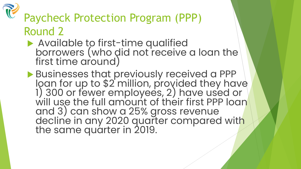

#### Paycheck Protection Program (PPP) Round 2

- Available to first-time qualified borrowers (who did not receive a loan the first time around)
- Businesses that previously received a PPP loan for up to \$2 million, provided they have 1) 300 or fewer employees, 2) have used or will use the full amount of their first PPP loan \ and 3) can show a 25% gross revenue decline in any 2020 quarter compared with the same quarter in 2019.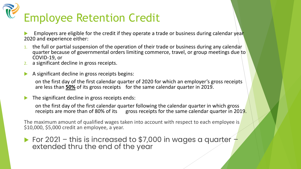# Employee Retention Credit

 Employers are eligible for the credit if they operate a trade or business during calendar year 2020 and experience either:

- 1. the full or partial suspension of the operation of their trade or business during any calendar quarter because of governmental orders limiting commerce, travel, or group meetings due to COVID-19, or
- a significant decline in gross receipts.
- A significant decline in gross receipts begins:

on the first day of the first calendar quarter of 2020 for which an employer's gross receipts are less than **50%** of its gross receipts for the same calendar quarter in 2019.

The significant decline in gross receipts ends:

on the first day of the first calendar quarter following the calendar quarter in which gross receipts are more than of 80% of its gross receipts for the same calendar quarter in 2019.

The maximum amount of qualified wages taken into account with respect to each employee is \$10,000, \$5,000 credit an employee, a year.

For 2021 – this is increased to \$7,000 in wages a quarter – extended thru the end of the year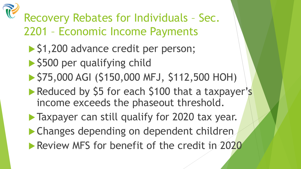

## Recovery Rebates for Individuals – Sec. 2201 – Economic Income Payments

- ▶ \$1,200 advance credit per person;
- ▶ \$500 per qualifying child
- $\blacktriangleright$  \$75,000 AGI (\$150,000 MFJ, \$112,500 HOH)
- Reduced by \$5 for each \$100 that a taxpayer's income exceeds the phaseout threshold.
- **Taxpayer can still qualify for 2020 tax year.**
- Changes depending on dependent children
- **Review MFS for benefit of the credit in 2020**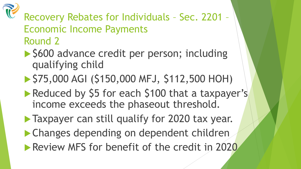

#### Recovery Rebates for Individuals – Sec. 2201 – Economic Income Payments Round 2

- ▶ \$600 advance credit per person; including qualifying child
- ▶ \$75,000 AGI (\$150,000 MFJ, \$112,500 HOH)
- Reduced by \$5 for each \$100 that a taxpayer's income exceeds the phaseout threshold.
- **Taxpayer can still qualify for 2020 tax year.**
- Changes depending on dependent children **Review MFS for benefit of the credit in 2020**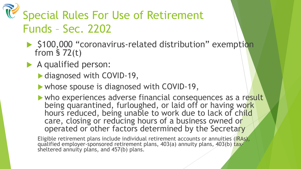- ▶ \$100,000 "coronavirus-related distribution" exemption from § 72(t)
- A qualified person:
	- ▶ diagnosed with COVID-19,
	- whose spouse is diagnosed with COVID-19,
	- who experiences adverse financial consequences as a result being quarantined, furloughed, or laid off or having work hours reduced, being unable to work due to lack of child care, closing or reducing hours of a business owned or operated or other factors determined by the Secretary

Eligible retirement plans include individual retirement accounts or annuities (IRAs), qualified employer-sponsored retirement plans, 403(a) annuity plans, 403(b) tax- sheltered annuity plans, and 457(b) plans.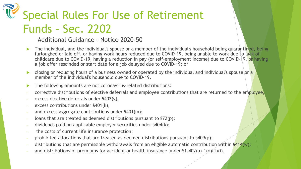Additional Guidance – Notice 2020-50

- The individual, and the individual's spouse or a member of the individual's household being quarantined, being furloughed or laid off, or having work hours reduced due to COVID-19, being unable to work due to lack of childcare due to COVID-19, having a reduction in pay (or self-employment income) due to COVID-19, or having a job offer rescinded or start date for a job delayed due to COVID-19; or
- closing or reducing hours of a business owned or operated by the individual and individual's spouse or a member of the individual's household due to COVID-19.
- The following amounts are not coronavirus-related distributions:
- corrective distributions of elective deferrals and employee contributions that are returned to the employee,
- excess elective deferrals under §402(g),
- excess contributions under §401(k),
- and excess aggregate contributions under  $$401(m);$
- loans that are treated as deemed distributions pursuant to \$72(p);
- dividends paid on applicable employer securities under \$404(k);
- the costs of current life insurance protection;
- prohibited allocations that are treated as deemed distributions pursuant to  $\frac{1}{9}(p)$ ;
- distributions that are permissible withdrawals from an eligible automatic contribution within  $\frac{2414}{w}$ ;
- and distributions of premiums for accident or health insurance under  $$1.402(a)-1(e)(1)(i)$ .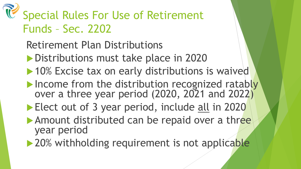- Retirement Plan Distributions
- Distributions must take place in 2020
- ▶ 10% Excise tax on early distributions is waived
- Income from the distribution recognized ratably over a three year period (2020, 2021 and 2022)
- Elect out of 3 year period, include all in 2020
- Amount distributed can be repaid over a three year period
- ▶ 20% withholding requirement is not applicable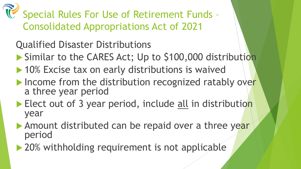Special Rules For Use of Retirement Funds – Consolidated Appropriations Act of 2021

Qualified Disaster Distributions

- Similar to the CARES Act; Up to \$100,000 distribution
- ▶ 10% Excise tax on early distributions is waived
- $\blacktriangleright$  Income from the distribution recognized ratably over a three year period
- Elect out of 3 year period, include all in distribution year
- Amount distributed can be repaid over a three year period
- ▶ 20% withholding requirement is not applicable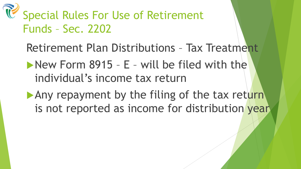- Retirement Plan Distributions Tax Treatment
- New Form 8915 E will be filed with the individual's income tax return
- Any repayment by the filing of the tax return is not reported as income for distribution year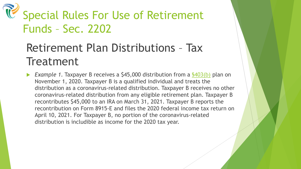#### Retirement Plan Distributions – Tax **Treatment**

 *Example 1*. Taxpayer B receives a \$45,000 distribution from a [§403\(b\)](https://answerconnect.cch.com/resolve/citation/IRC-FILE%20S403(b)?contextDocumentId=arp1209013e2c83dc424d) plan on November 1, 2020. Taxpayer B is a qualified individual and treats the distribution as a coronavirus-related distribution. Taxpayer B receives no other coronavirus-related distribution from any eligible retirement plan. Taxpayer B recontributes \$45,000 to an IRA on March 31, 2021. Taxpayer B reports the recontribution on Form 8915-E and files the 2020 federal income tax return on April 10, 2021. For Taxpayer B, no portion of the coronavirus-related distribution is includible as income for the 2020 tax year.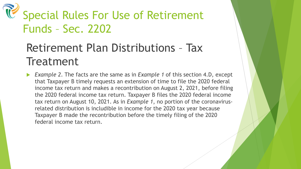#### Retirement Plan Distributions – Tax **Treatment**

 *Example 2*. The facts are the same as in *Example 1* of this section 4.D, except that Taxpayer B timely requests an extension of time to file the 2020 federal income tax return and makes a recontribution on August 2, 2021, before filing the 2020 federal income tax return. Taxpayer B files the 2020 federal income tax return on August 10, 2021. As in *Example 1*, no portion of the coronavirusrelated distribution is includible in income for the 2020 tax year because Taxpayer B made the recontribution before the timely filing of the 2020 federal income tax return.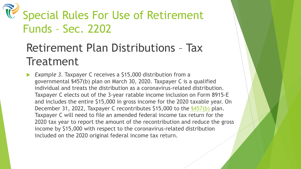#### Retirement Plan Distributions – Tax **Treatment**

 *Example 3*. Taxpayer C receives a \$15,000 distribution from a governmental §457(b) plan on March 30, 2020. Taxpayer C is a qualified individual and treats the distribution as a coronavirus-related distribution. Taxpayer C elects out of the 3-year ratable income inclusion on Form 8915-E and includes the entire \$15,000 in gross income for the 2020 taxable year. On December 31, 2022, Taxpayer C recontributes \$15,000 to the [§457\(b\)](https://answerconnect.cch.com/resolve/citation/IRC-FILE%20S457(b)?contextDocumentId=arp1209013e2c83dc424d) plan. Taxpayer C will need to file an amended federal income tax return for the 2020 tax year to report the amount of the recontribution and reduce the gross income by \$15,000 with respect to the coronavirus-related distribution included on the 2020 original federal income tax return.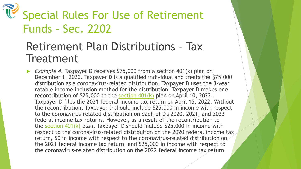#### Retirement Plan Distributions – Tax **Treatment**

 *Example 4*. Taxpayer D receives \$75,000 from a section 401(k) plan on December 1, 2020. Taxpayer D is a qualified individual and treats the \$75,000 distribution as a coronavirus-related distribution. Taxpayer D uses the 3-year ratable income inclusion method for the distribution. Taxpayer D makes one recontribution of \$25,000 to the section  $401(k)$  plan on April 10, 2022. Taxpayer D files the 2021 federal income tax return on April 15, 2022. Without the recontribution, Taxpayer D should include \$25,000 in income with respect to the coronavirus-related distribution on each of D's 2020, 2021, and 2022 federal income tax returns. However, as a result of the recontribution to the section  $401(k)$  plan, Taxpayer D should include \$25,000 in income with respect to the coronavirus-related distribution on the 2020 federal income tax return, \$0 in income with respect to the coronavirus-related distribution on the 2021 federal income tax return, and \$25,000 in income with respect to the coronavirus-related distribution on the 2022 federal income tax return.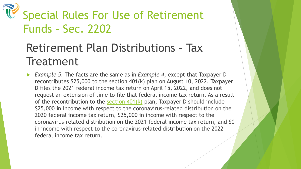#### Retirement Plan Distributions – Tax **Treatment**

 *Example 5*. The facts are the same as in *Example 4*, except that Taxpayer D recontributes \$25,000 to the section 401(k) plan on August 10, 2022. Taxpayer D files the 2021 federal income tax return on April 15, 2022, and does not request an extension of time to file that federal income tax return. As a result of the recontribution to the section  $401(k)$  plan, Taxpayer D should include \$25,000 in income with respect to the coronavirus-related distribution on the 2020 federal income tax return, \$25,000 in income with respect to the coronavirus-related distribution on the 2021 federal income tax return, and \$0 in income with respect to the coronavirus-related distribution on the 2022 federal income tax return.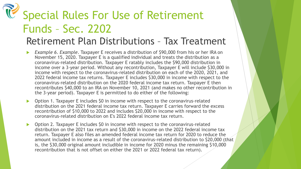#### Retirement Plan Distributions – Tax Treatment

- *Example 6*. *Example*. Taxpayer E receives a distribution of \$90,000 from his or her IRA on November 15, 2020. Taxpayer E is a qualified individual and treats the distribution as a coronavirus-related distribution. Taxpayer E ratably includes the \$90,000 distribution in income over a 3-year period. Without any recontribution, Taxpayer E will include \$30,000 in income with respect to the coronavirus-related distribution on each of the 2020, 2021, and 2022 federal income tax returns. Taxpayer E includes \$30,000 in income with respect to the coronavirus-related distribution on the 2020 federal income tax return. Taxpayer E then recontributes \$40,000 to an IRA on November 10, 2021 (and makes no other recontribution in the 3-year period). Taxpayer E is permitted to do either of the following:
- Option 1. Taxpayer E includes \$0 in income with respect to the coronavirus-related distribution on the 2021 federal income tax return. Taxpayer E carries forward the excess recontribution of \$10,000 to 2022 and includes \$20,000 in income with respect to the coronavirus-related distribution on E's 2022 federal income tax return.
- Option 2. Taxpayer E includes \$0 in income with respect to the coronavirus-related distribution on the 2021 tax return and \$30,000 in income on the 2022 federal income tax return. Taxpayer E also files an amended federal income tax return for 2020 to reduce the amount included in income as a result of the coronavirus-related distribution to \$20,000 (that is, the \$30,000 original amount includible in income for 2020 minus the remaining \$10,000 recontribution that is not offset on either the 2021 or 2022 federal tax return).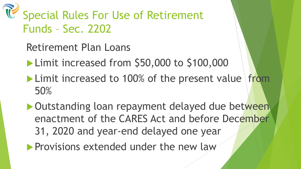Retirement Plan Loans

Limit increased from \$50,000 to \$100,000

 $\blacktriangleright$  Limit increased to 100% of the present value from 50%

▶ Outstanding loan repayment delayed due between enactment of the CARES Act and before December 31, 2020 and year-end delayed one year

**Provisions extended under the new law**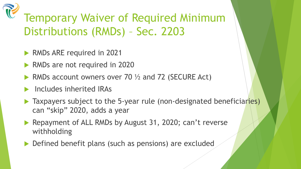#### Temporary Waiver of Required Minimum Distributions (RMDs) – Sec. 2203

- RMDs ARE required in 2021
- RMDs are not required in 2020
- RMDs account owners over 70  $\frac{1}{2}$  and 72 (SECURE Act)
- Includes inherited IRAs
- ▶ Taxpayers subject to the 5-year rule (non-designated beneficiaries) can "skip" 2020, adds a year
- Repayment of ALL RMDs by August 31, 2020; can't reverse withholding
- Defined benefit plans (such as pensions) are excluded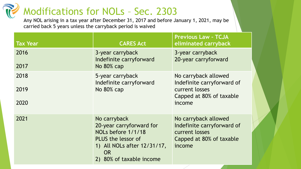#### Modifications for NOLs – Sec. 2303

Any NOL arising in a tax year after December 31, 2017 and before January 1, 2021, may be carried back 5 years unless the carryback period is waived

| <b>Tax Year</b> | <b>CARES Act</b>                                                                                                                                             | <b>Previous Law - TCJA</b><br>eliminated carryback                                                         |  |
|-----------------|--------------------------------------------------------------------------------------------------------------------------------------------------------------|------------------------------------------------------------------------------------------------------------|--|
| 2016<br>2017    | 3-year carryback<br>Indefinite carryforward<br>No 80% cap                                                                                                    | 3-year carryback<br>20-year carryforward                                                                   |  |
|                 |                                                                                                                                                              |                                                                                                            |  |
| 2018            | 5-year carryback<br>Indefinite carryforward                                                                                                                  | No carryback allowed<br>Indefinite carryforward of                                                         |  |
| 2019            | No 80% cap                                                                                                                                                   | current losses<br>Capped at 80% of taxable                                                                 |  |
| 2020            |                                                                                                                                                              | income                                                                                                     |  |
| 2021            | No carryback<br>20-year carryforward for<br>NOLs before 1/1/18<br>PLUS the lessor of<br>1) All NOLs after 12/31/17,<br><b>OR</b><br>2) 80% of taxable income | No carryback allowed<br>Indefinite carryforward of<br>current losses<br>Capped at 80% of taxable<br>income |  |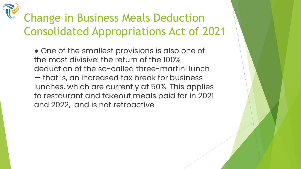## Change in Business Meals Deduction Consolidated Appropriations Act of 2021

● One of the smallest provisions is also one of the most divisive: the return of the 100% deduction of the so-called three-martini lunch — that is, an increased tax break for business lunches, which are currently at 50%. This applies to restaurant and takeout meals paid for in 2021 and 2022, and is not retroactive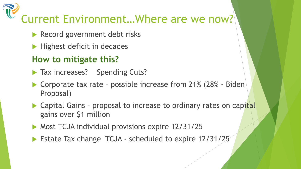# Current Environment…Where are we now?

- Record government debt risks
- $\blacktriangleright$  Highest deficit in decades

#### **How to mitigate this?**

- Tax increases? Spending Cuts?
- ▶ Corporate tax rate possible increase from 21% (28% Biden Proposal)
- Capital Gains proposal to increase to ordinary rates on capital gains over \$1 million
- **Most TCJA individual provisions expire 12/31/25**
- ▶ Estate Tax change TCJA scheduled to expire 12/31/25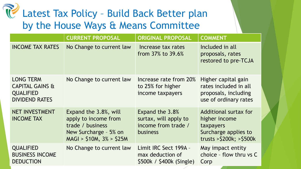#### Latest Tax Policy – Build Back Better plan by the House Ways & Means Committee

|                                                                                             | <b>CURRENT PROPOSAL</b>                                                                                                 | <b>ORIGINAL PROPOSAL</b>                                                           | <b>COMMENT</b>                                                                                                      |
|---------------------------------------------------------------------------------------------|-------------------------------------------------------------------------------------------------------------------------|------------------------------------------------------------------------------------|---------------------------------------------------------------------------------------------------------------------|
| <b>INCOME TAX RATES</b>                                                                     | No Change to current law                                                                                                | Increase tax rates<br>from 37% to 39.6%                                            | Included in all<br>proposals, rates<br>restored to pre-TCJA                                                         |
| <b>LONG TERM</b><br><b>CAPITAL GAINS &amp;</b><br><b>QUALIFIED</b><br><b>DIVIDEND RATES</b> | No Change to current law                                                                                                | Increase rate from 20%<br>to 25% for higher<br>income taxpayers                    | Higher capital gain<br>rates included in all<br>proposals, including<br>use of ordinary rates                       |
| <b>NET INVESTMENT</b><br><b>INCOME TAX</b>                                                  | Expand the 3.8%, will<br>apply to income from<br>trade / business<br>New Surcharge - 5% on<br>$MAGI > $10M, 3\% > $25M$ | Expand the 3.8%<br>surtax, will apply to<br>income from trade /<br><b>business</b> | <b>Additional surtax for</b><br>higher income<br>taxpayers<br>Surcharge applies to<br>trusts $>$ \$200k; $>$ \$500k |
| <b>QUALIFIED</b><br><b>BUSINESS INCOME</b><br><b>DEDUCTION</b>                              | No Change to current law                                                                                                | Limit IRC Sect 199A -<br>max deduction of<br>\$500k / \$400k (Single)              | May impact entity<br>choice - flow thru vs C<br>Corp                                                                |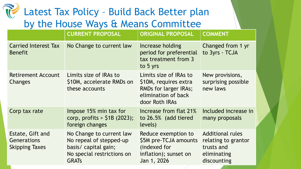#### Latest Tax Policy – Build Back Better plan by the House Ways & Means Committee

|                                                                 | <b>CURRENT PROPOSAL</b>                                                                                                   | <b>ORIGINAL PROPOSAL</b>                                                                                                 | <b>COMMENT</b>                                                                             |
|-----------------------------------------------------------------|---------------------------------------------------------------------------------------------------------------------------|--------------------------------------------------------------------------------------------------------------------------|--------------------------------------------------------------------------------------------|
| <b>Carried Interest Tax</b><br><b>Benefit</b>                   | No Change to current law                                                                                                  | Increase holding<br>period for preferential<br>tax treatment from 3<br>to 5 yrs                                          | Changed from 1 yr<br>to 3yrs - TCJA                                                        |
| <b>Retirement Account</b><br>Changes                            | Limits size of IRAs to<br>\$10M, accelerate RMDs on<br>these accounts                                                     | Limits size of IRAs to<br>\$10M, requires extra<br><b>RMDs for larger IRAs;</b><br>elimination of back<br>door Roth IRAs | New provisions,<br>surprising possible<br>new laws                                         |
| Corp tax rate                                                   | Impose 15% min tax for<br>corp, profits $>$ \$1B (2023);<br>foreign changes                                               | Increase from flat 21%<br>to 26.5% (add tiered<br>levels)                                                                | Included increase in<br>many proposals                                                     |
| Estate, Gift and<br><b>Generations</b><br><b>Skipping Taxes</b> | No Change to current law<br>No repeal of stepped-up<br>basis/ capital gain;<br>No special restrictions on<br><b>GRATS</b> | Reduce exemption to<br>\$5M pre-TCJA amounts<br>(indexed for<br>inflation); sunset on<br>Jan 1, 2026                     | <b>Additional rules</b><br>relating to grantor<br>trusts and<br>eliminating<br>discounting |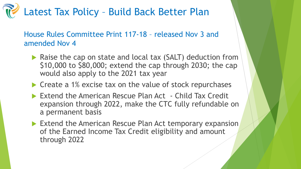#### Latest Tax Policy – Build Back Better Plan

House Rules Committee Print 117-18 – released Nov 3 and amended Nov 4

- ▶ Raise the cap on state and local tax (SALT) deduction from \$10,000 to \$80,000; extend the cap through 2030; the cap would also apply to the 2021 tax year
- ▶ Create a 1% excise tax on the value of stock repurchases
- ▶ Extend the American Rescue Plan Act Child Tax Credit expansion through 2022, make the CTC fully refundable on a permanent basis
- Extend the American Rescue Plan Act temporary expansion of the Earned Income Tax Credit eligibility and amount through 2022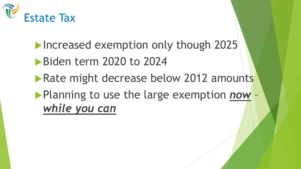

**Increased exemption only though 2025** Biden term 2020 to 2024 **Rate might decrease below 2012 amounts** Planning to use the large exemption *now* – *while you can*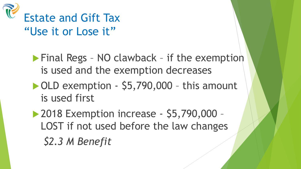

**Final Regs - NO clawback - if the exemption** is used and the exemption decreases

▶ OLD exemption - \$5,790,000 - this amount is used first

2018 Exemption increase - \$5,790,000 – LOST if not used before the law changes *\$2.3 M Benefit*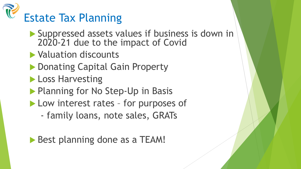

- Suppressed assets values if business is down in 2020-21 due to the impact of Covid
- Valuation discounts
- ▶ Donating Capital Gain Property
- **Loss Harvesting**
- **Planning for No Step-Up in Basis**
- Low interest rates for purposes of
	- family loans, note sales, GRATs

Best planning done as a TEAM!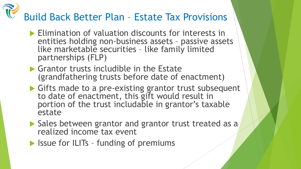## Build Back Better Plan – Estate Tax Provisions

- **Elimination of valuation discounts for interests in** entities holding non-business assets – passive assets like marketable securities – like family limited partnerships (FLP)
- Grantor trusts includible in the Estate (grandfathering trusts before date of enactment)
- Gifts made to a pre-existing grantor trust subsequent to date of enactment, this gift would result in portion of the trust includable in grantor's taxable estate
- Sales between grantor and grantor trust treated as a realized income tax event
- $\blacktriangleright$  Issue for ILITs funding of premiums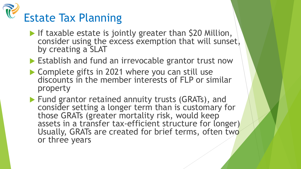

If taxable estate is jointly greater than \$20 Million, consider using the excess exemption that will sunset, by creating a SLAT

Establish and fund an irrevocable grantor trust now

▶ Complete gifts in 2021 where you can still use discounts in the member interests of FLP or similar property

**Fund grantor retained annuity trusts (GRATs), and** consider setting a longer term than is customary for those GRATs (greater mortality risk, would keep assets in a transfer tax-efficient structure for longer) Usually, GRATs are created for brief terms, often two or three years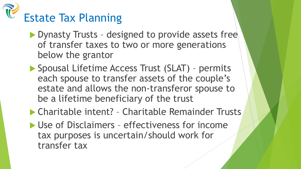

- ▶ Dynasty Trusts designed to provide assets free of transfer taxes to two or more generations below the grantor
- ▶ Spousal Lifetime Access Trust (SLAT) permits each spouse to transfer assets of the couple's estate and allows the non-transferor spouse to be a lifetime beneficiary of the trust
- ▶ Charitable intent? Charitable Remainder Trusts
- ▶ Use of Disclaimers effectiveness for income tax purposes is uncertain/should work for transfer tax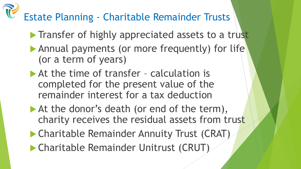## Estate Planning - Charitable Remainder Trusts

- **Transfer of highly appreciated assets to a trust**
- Annual payments (or more frequently) for life (or a term of years)
- At the time of transfer calculation is completed for the present value of the remainder interest for a tax deduction
- At the donor's death (or end of the term), charity receives the residual assets from trust
- Charitable Remainder Annuity Trust (CRAT)
- Charitable Remainder Unitrust (CRUT)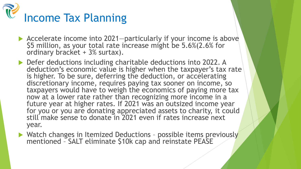

- Accelerate income into 2021—particularly if your income is above<br>\$5 million, as your total rate increase might be 5.6%(2.6% for ordinary bracket + 3% surtax).
- ▶ Defer deductions including charitable deductions into 2022. A deduction's economic value is higher when the taxpayer's tax rate is higher. To be sure, deferring the deduction, or accelerating discretionary income, requires paying tax sooner on income, so taxpayers would have to weigh the economics of paying more tax now at a lower rate rather than recognizing more income in a future year at higher rates. If 2021 was an outsized income year for you or you are donating appreciated assets to charity, it could still make sense to donate in 2021 even if rates increase next year.
- ▶ Watch changes in Itemized Deductions possible items previously mentioned – SALT eliminate \$10k cap and reinstate PEASE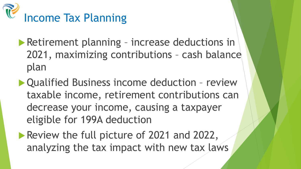![](_page_41_Picture_0.jpeg)

- **Retirement planning increase deductions in** 2021, maximizing contributions – cash balance plan
- Qualified Business income deduction review taxable income, retirement contributions can decrease your income, causing a taxpayer eligible for 199A deduction
- Review the full picture of 2021 and 2022, analyzing the tax impact with new tax laws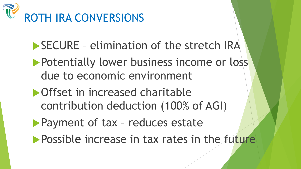![](_page_42_Picture_0.jpeg)

- SECURE elimination of the stretch IRA
- **Potentially lower business income or loss** due to economic environment
- **Offset in increased charitable** contribution deduction (100% of AGI)
- **Payment of tax reduces estate**
- **Possible increase in tax rates in the future**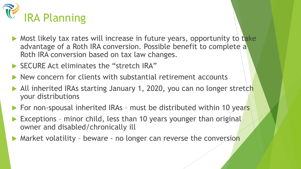![](_page_43_Picture_0.jpeg)

- Most likely tax rates will increase in future years, opportunity to take advantage of a Roth IRA conversion. Possible benefit to complete a Roth IRA conversion based on tax law changes.
- SECURE Act eliminates the "stretch IRA"
- $\blacktriangleright$  New concern for clients with substantial retirement accounts
- ▶ All inherited IRAs starting January 1, 2020, you can no longer stretch your distributions
- ▶ For non-spousal inherited IRAs must be distributed within 10 years
- Exceptions minor child, less than 10 years younger than original owner and disabled/chronically ill
- Market volatility beware no longer can reverse the conversion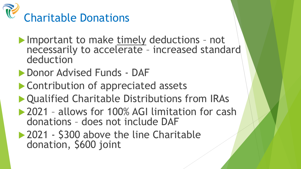![](_page_44_Picture_0.jpeg)

- **Important to make timely deductions not** necessarily to accelerate – increased standard deduction
- **Donor Advised Funds DAF**
- **Contribution of appreciated assets**
- ▶ Qualified Charitable Distributions from IRAs
- ▶ 2021 allows for 100% AGI limitation for cash donations – does not include DAF
- ▶ 2021 \$300 above the line Charitable donation, \$600 joint